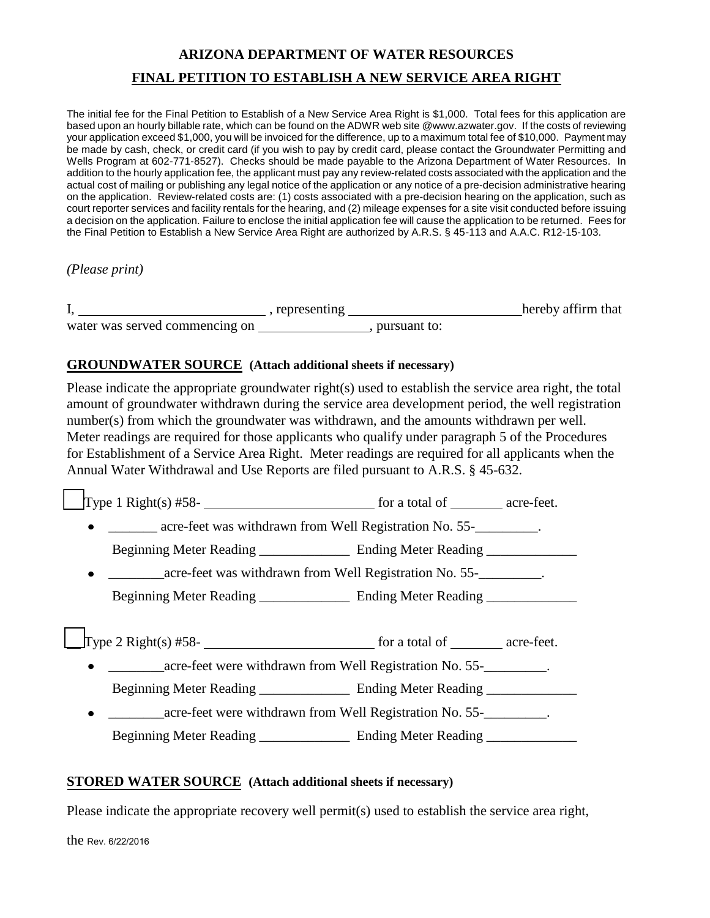# **ARIZONA DEPARTMENT OF WATER RESOURCES FINAL PETITION TO ESTABLISH A NEW SERVICE AREA RIGHT**

The initial fee for the Final Petition to Establish of a New Service Area Right is \$1,000. Total fees for this application are based upon an hourly billable rate, which can be found on the ADWR web site @www.azwater.gov. If the costs of reviewing your application exceed \$1,000, you will be invoiced for the difference, up to a maximum total fee of \$10,000. Payment may be made by cash, check, or credit card (if you wish to pay by credit card, please contact the Groundwater Permitting and Wells Program at 602-771-8527). Checks should be made payable to the Arizona Department of Water Resources. In addition to the hourly application fee, the applicant must pay any review-related costs associated with the application and the actual cost of mailing or publishing any legal notice of the application or any notice of a pre-decision administrative hearing on the application. Review-related costs are: (1) costs associated with a pre-decision hearing on the application, such as court reporter services and facility rentals for the hearing, and (2) mileage expenses for a site visit conducted before issuing a decision on the application. Failure to enclose the initial application fee will cause the application to be returned. Fees for the Final Petition to Establish a New Service Area Right are authorized by A.R.S. § 45-113 and A.A.C. R12-15-103.

*(Please print)* 

|                                | representing |              | hereby affirm that |
|--------------------------------|--------------|--------------|--------------------|
| water was served commencing on |              | pursuant to: |                    |

# **GROUNDWATER SOURCE (Attach additional sheets if necessary)**

Please indicate the appropriate groundwater right(s) used to establish the service area right, the total amount of groundwater withdrawn during the service area development period, the well registration number(s) from which the groundwater was withdrawn, and the amounts withdrawn per well. Meter readings are required for those applicants who qualify under paragraph 5 of the Procedures for Establishment of a Service Area Right. Meter readings are required for all applicants when the Annual Water Withdrawal and Use Reports are filed pursuant to A.R.S. § 45-632.

Type 1 Right(s)  $#58$ - $\qquad$  for a total of  $\qquad$  acre-feet.

• acre-feet was withdrawn from Well Registration No. 55-

Beginning Meter Reading **Ending Meter Reading** Ending Meter Reading

\_\_\_\_\_\_\_\_acre-feet was withdrawn from Well Registration No. 55-\_\_\_\_\_\_\_\_\_.  $\bullet$ Beginning Meter Reading \_\_\_\_\_\_\_\_\_\_\_\_\_\_\_\_ Ending Meter Reading \_\_\_\_\_\_\_\_\_\_\_\_\_\_\_\_\_\_

Type 2 Right(s)  $#58$ - $\qquad \qquad$  for a total of  $\qquad \qquad$  acre-feet.

acre-feet were withdrawn from Well Registration No. 55- $\bullet$ 

Beginning Meter Reading \_\_\_\_\_\_\_\_\_\_\_\_\_\_\_\_\_ Ending Meter Reading \_\_\_\_\_\_\_\_\_\_\_\_\_\_\_\_\_

\_\_\_\_\_\_\_\_acre-feet were withdrawn from Well Registration No. 55-\_\_\_\_\_\_\_\_\_. Beginning Meter Reading **Ending Meter Reading Leading Leading Leading Leading Leading Leading Leading Leading Leading Leading Leading Leading Leading Leading Leading Leading Leading Leading Leading Leading Leading Leading** 

# **STORED WATER SOURCE (Attach additional sheets if necessary)**

Please indicate the appropriate recovery well permit(s) used to establish the service area right,

the Rev. 6/22/2016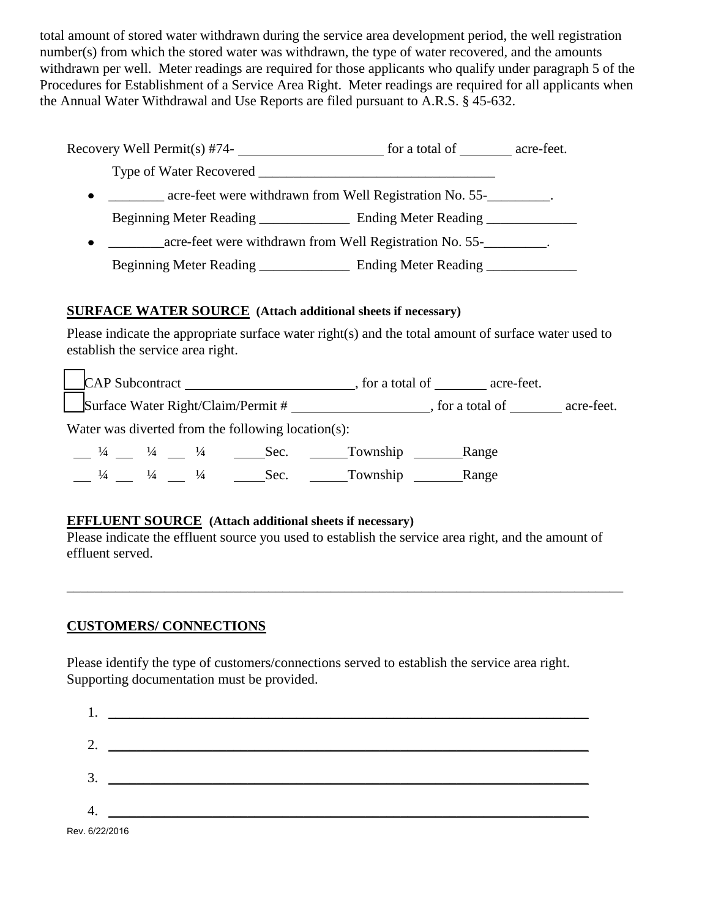total amount of stored water withdrawn during the service area development period, the well registration number(s) from which the stored water was withdrawn, the type of water recovered, and the amounts withdrawn per well. Meter readings are required for those applicants who qualify under paragraph 5 of the Procedures for Establishment of a Service Area Right. Meter readings are required for all applicants when the Annual Water Withdrawal and Use Reports are filed pursuant to A.R.S. § 45-632.

| Recovery Well Permit(s) $#74$ -                         | for a total of __________ acre-feet. |  |
|---------------------------------------------------------|--------------------------------------|--|
| Type of Water Recovered                                 |                                      |  |
| acre-feet were withdrawn from Well Registration No. 55- |                                      |  |
| Beginning Meter Reading                                 | Ending Meter Reading                 |  |
| acre-feet were withdrawn from Well Registration No. 55- |                                      |  |
| Beginning Meter Reading ______________                  | Ending Meter Reading                 |  |

# **SURFACE WATER SOURCE (Attach additional sheets if necessary)**

Please indicate the appropriate surface water right(s) and the total amount of surface water used to establish the service area right.

|               |               |                             | CAP Subcontract                                    |                                    | , for a total of acre-feet. |            |
|---------------|---------------|-----------------------------|----------------------------------------------------|------------------------------------|-----------------------------|------------|
|               |               |                             |                                                    | Surface Water Right/Claim/Permit # | , for a total of            | acre-feet. |
|               |               |                             | Water was diverted from the following location(s): |                                    |                             |            |
| $\frac{1}{4}$ |               | $\frac{1}{4}$ $\frac{1}{4}$ |                                                    | Sec. Township Range                |                             |            |
|               | $\frac{1}{4}$ | $\frac{1}{4}$               | Sec.                                               | Township                           | Range                       |            |

#### **EFFLUENT SOURCE (Attach additional sheets if necessary)**

Please indicate the effluent source you used to establish the service area right, and the amount of effluent served.

\_\_\_\_\_\_\_\_\_\_\_\_\_\_\_\_\_\_\_\_\_\_\_\_\_\_\_\_\_\_\_\_\_\_\_\_\_\_\_\_\_\_\_\_\_\_\_\_\_\_\_\_\_\_\_\_\_\_\_\_\_\_\_\_\_\_\_\_\_\_\_\_\_\_\_\_\_\_\_\_

# **CUSTOMERS/ CONNECTIONS**

Please identify the type of customers/connections served to establish the service area right. Supporting documentation must be provided.